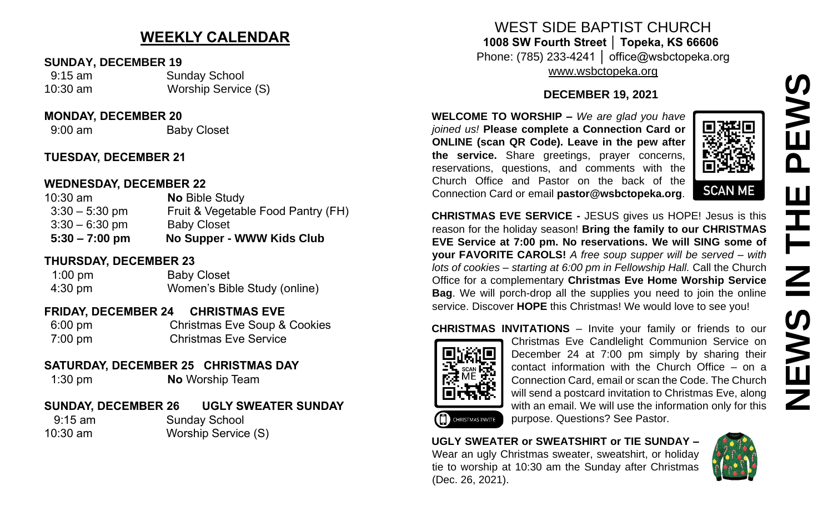## **NEWS IN THE PEWSNSAR**  $\mathbf \Omega$ Ш E  $\mathbf{Z}$ EWS Ζ

### **WEEKLY CALENDAR**

#### **SUNDAY, DECEMBER 19**

 9:15 am Sunday School 10:30 am Worship Service (S)

#### **MONDAY, DECEMBER 20**

9:00 am Baby Closet

#### **TUESDAY, DECEMBER 21**

#### **WEDNESDAY, DECEMBER 22**

| $10:30$ am       | <b>No Bible Study</b>              |
|------------------|------------------------------------|
| $3:30 - 5:30$ pm | Fruit & Vegetable Food Pantry (FH) |
| $3:30 - 6:30$ pm | <b>Baby Closet</b>                 |
| $5:30 - 7:00$ pm | No Supper - WWW Kids Club          |

#### **THURSDAY, DECEMBER 23**

| $1:00$ pm         | <b>Baby Closet</b>           |
|-------------------|------------------------------|
| $4:30 \text{ pm}$ | Women's Bible Study (online) |

#### **FRIDAY, DECEMBER 24 CHRISTMAS EVE**

 6:00 pm Christmas Eve Soup & Cookies 7:00 pm Christmas Eve Service

#### **SATURDAY, DECEMBER 25 CHRISTMAS DAY**

1:30 pm **No** Worship Team

#### **SUNDAY, DECEMBER 26 UGLY SWEATER SUNDAY**

 9:15 am Sunday School 10:30 am Worship Service (S)

WEST SIDE BAPTIST CHURCH **1008 SW Fourth Street │ Topeka, KS 66606** Phone: (785) 233-4241 │ office@wsbctopeka.org

[www.wsbctopeka.org](http://www.wsbctopeka.org/)

#### **DECEMBER 19, 2021**

**WELCOME TO WORSHIP –** *We are glad you have joined us!* **Please complete a Connection Card or ONLINE (scan QR Code). Leave in the pew after the service.** Share greetings, prayer concerns, reservations, questions, and comments with the Church Office and Pastor on the back of the Connection Card or email **pastor@wsbctopeka.org**.



**CHRISTMAS EVE SERVICE -** JESUS gives us HOPE! Jesus is this reason for the holiday season! **Bring the family to our CHRISTMAS EVE Service at 7:00 pm. No reservations. We will SING some of your FAVORITE CAROLS!** *A free soup supper will be served – with lots of cookies – starting at 6:00 pm in Fellowship Hall.* Call the Church Office for a complementary **Christmas Eve Home Worship Service Bag**. We will porch-drop all the supplies you need to join the online service. Discover **HOPE** this Christmas! We would love to see you!



**CHRISTMAS INVITATIONS** – Invite your family or friends to our Christmas Eve Candlelight Communion Service on December 24 at 7:00 pm simply by sharing their contact information with the Church Office – on a Connection Card, email or scan the Code. The Church will send a postcard invitation to Christmas Eve, along with an email. We will use the information only for this purpose. Questions? See Pastor.

#### **UGLY SWEATER or SWEATSHIRT or TIE SUNDAY –** Wear an ugly Christmas sweater, sweatshirt, or holiday tie to worship at 10:30 am the Sunday after Christmas (Dec. 26, 2021).